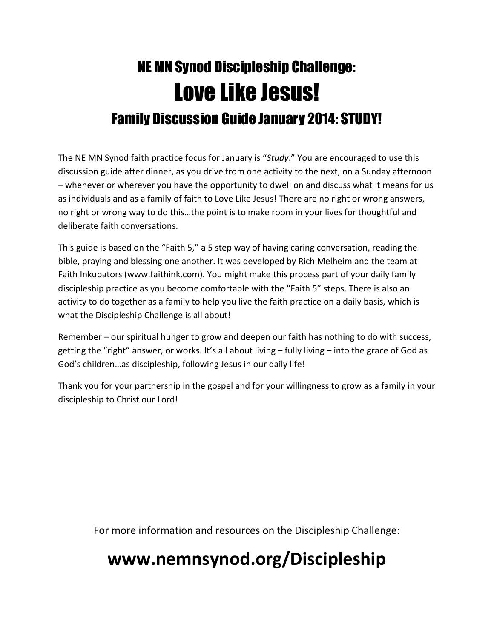# NE MN Synod Discipleship Challenge: Love Like Jesus! Family Discussion Guide January 2014: STUDY!

The NE MN Synod faith practice focus for January is "Study." You are encouraged to use this discussion guide after dinner, as you drive from one activity to the next, on a Sunday afternoon – whenever or wherever you have the opportunity to dwell on and discuss what it means for us as individuals and as a family of faith to Love Like Jesus! There are no right or wrong answers, no right or wrong way to do this…the point is to make room in your lives for thoughtful and deliberate faith conversations.

This guide is based on the "Faith 5," a 5 step way of having caring conversation, reading the bible, praying and blessing one another. It was developed by Rich Melheim and the team at Faith Inkubators (www.faithink.com). You might make this process part of your daily family discipleship practice as you become comfortable with the "Faith 5" steps. There is also an activity to do together as a family to help you live the faith practice on a daily basis, which is what the Discipleship Challenge is all about!

Remember – our spiritual hunger to grow and deepen our faith has nothing to do with success, getting the "right" answer, or works. It's all about living – fully living – into the grace of God as God's children…as discipleship, following Jesus in our daily life!

Thank you for your partnership in the gospel and for your willingness to grow as a family in your discipleship to Christ our Lord!

For more information and resources on the Discipleship Challenge:

## www.nemnsynod.org/Discipleship